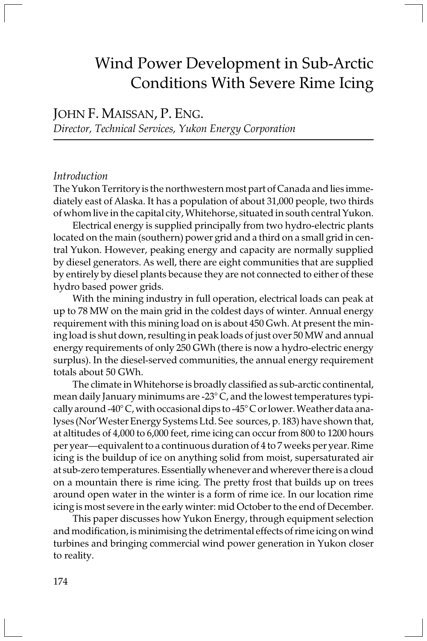# Wind Power Development in Sub-Arctic Conditions With Severe Rime Icing

JOHN F. MAISSAN, P. ENG. Director, Technical Services, Yukon Energy Corporation

# Introduction

The Yukon Territory is the northwestern most part of Canada and lies immediately east of Alaska. It has a population of about 31,000 people, two thirds of whom live in the capital city, Whitehorse, situated in south central Yukon.

Electrical energy is supplied principally from two hydro-electric plants located on the main (southern) power grid and a third on a small grid in central Yukon. However, peaking energy and capacity are normally supplied by diesel generators. As well, there are eight communities that are supplied by entirely by diesel plants because they are not connected to either of these hydro based power grids.

With the mining industry in full operation, electrical loads can peak at up to 78 MW on the main grid in the coldest days of winter. Annual energy requirement with this mining load on is about 450 Gwh. At present the mining load is shut down, resulting in peak loads of just over 50 MW and annual energy requirements of only 250 GWh (there is now a hydro-electric energy surplus). In the diesel-served communities, the annual energy requirement totals about 50 GWh.

The climate in Whitehorse is broadly classified as sub-arctic continental, mean daily January minimums are -23° C, and the lowest temperatures typically around -40° C, with occasional dips to -45° C or lower. Weather data analyses (Nor'Wester Energy Systems Ltd. See sources, p. 183) have shown that, at altitudes of 4,000 to 6,000 feet, rime icing can occur from 800 to 1200 hours per year—equivalent to a continuous duration of 4 to 7 weeks per year. Rime icing is the buildup of ice on anything solid from moist, supersaturated air at sub-zero temperatures. Essentially whenever and wherever there is a cloud on a mountain there is rime icing. The pretty frost that builds up on trees around open water in the winter is a form of rime ice. In our location rime icing is most severe in the early winter: mid October to the end of December.

This paper discusses how Yukon Energy, through equipment selection and modification, is minimising the detrimental effects of rime icing on wind turbines and bringing commercial wind power generation in Yukon closer to reality.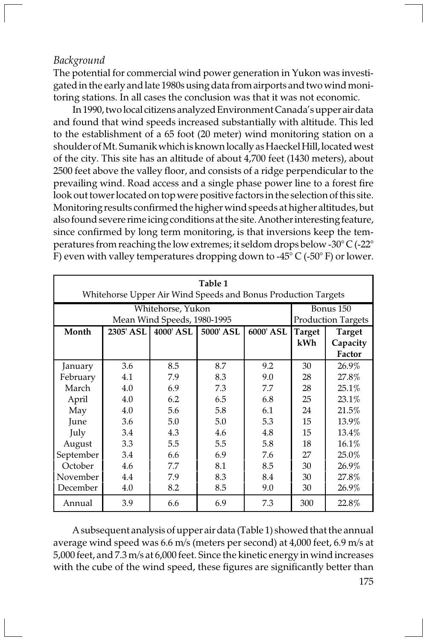# Background

The potential for commercial wind power generation in Yukon was investigated in the early and late 1980s using data from airports and two wind monitoring stations. In all cases the conclusion was that it was not economic.

In 1990, two local citizens analyzed Environment Canada's upper air data and found that wind speeds increased substantially with altitude. This led to the establishment of a 65 foot (20 meter) wind monitoring station on a shoulder of Mt. Sumanik which is known locally as Haeckel Hill, located west of the city. This site has an altitude of about 4,700 feet (1430 meters), about 2500 feet above the valley floor, and consists of a ridge perpendicular to the prevailing wind. Road access and a single phase power line to a forest fire look out tower located on top were positive factors in the selection of this site. Monitoring results confirmed the higher wind speeds at higher altitudes, but also found severe rime icing conditions at the site. Another interesting feature, since confirmed by long term monitoring, is that inversions keep the temperatures from reaching the low extremes; it seldom drops below -30° C (-22° F) even with valley temperatures dropping down to -45 $\degree$  C (-50 $\degree$  F) or lower.

| Table 1<br>Whitehorse Upper Air Wind Speeds and Bonus Production Targets |                           |                       |           |           |        |               |  |  |  |
|--------------------------------------------------------------------------|---------------------------|-----------------------|-----------|-----------|--------|---------------|--|--|--|
|                                                                          | Bonus 150                 |                       |           |           |        |               |  |  |  |
|                                                                          | <b>Production Targets</b> |                       |           |           |        |               |  |  |  |
| Month                                                                    |                           | 2305' ASL   4000' ASL | 5000' ASL | 6000' ASL | Target | <b>Target</b> |  |  |  |
|                                                                          |                           |                       |           |           | kWh    | Capacity      |  |  |  |
|                                                                          |                           |                       |           |           |        | Factor        |  |  |  |
| January                                                                  | 3.6                       | 8.5                   | 8.7       | 9.2       | 30     | 26.9%         |  |  |  |
| February                                                                 | 4.1                       | 7.9                   | 8.3       | 9.0       | 28     | 27.8%         |  |  |  |
| March                                                                    | 4.0                       | 6.9                   | 7.3       | 7.7       | 28     | 25.1%         |  |  |  |
| April                                                                    | 4.0                       | 6.2                   | 6.5       | 6.8       | 25     | 23.1%         |  |  |  |
| May                                                                      | 4.0                       | 5.6                   | 5.8       | 6.1       | 24     | 21.5%         |  |  |  |
| June                                                                     | 3.6                       | 5.0                   | 5.0       | 5.3       | 15     | 13.9%         |  |  |  |
| July                                                                     | 3.4                       | 4.3                   | 4.6       | 4.8       | 15     | 13.4%         |  |  |  |
| August                                                                   | 3.3                       | 5.5                   | 5.5       | 5.8       | 18     | 16.1%         |  |  |  |
| September                                                                | 3.4                       | 6.6                   | 6.9       | 7.6       | 27     | 25.0%         |  |  |  |
| October                                                                  | 4.6                       | 7.7                   | 8.1       | 8.5       | 30     | 26.9%         |  |  |  |
| November                                                                 | 4.4                       | 7.9                   | 8.3       | 8.4       | 30     | 27.8%         |  |  |  |
| December                                                                 | 4.0                       | 8.2                   | 8.5       | 9.0       | 30     | 26.9%         |  |  |  |
| Annual                                                                   | 3.9                       | 6.6                   | 6.9       | 7.3       | 300    | 22.8%         |  |  |  |

A subsequent analysis of upper air data (Table 1) showed that the annual average wind speed was 6.6 m/s (meters per second) at 4,000 feet, 6.9 m/s at 5,000 feet, and 7.3 m/s at 6,000 feet. Since the kinetic energy in wind increases with the cube of the wind speed, these figures are significantly better than

175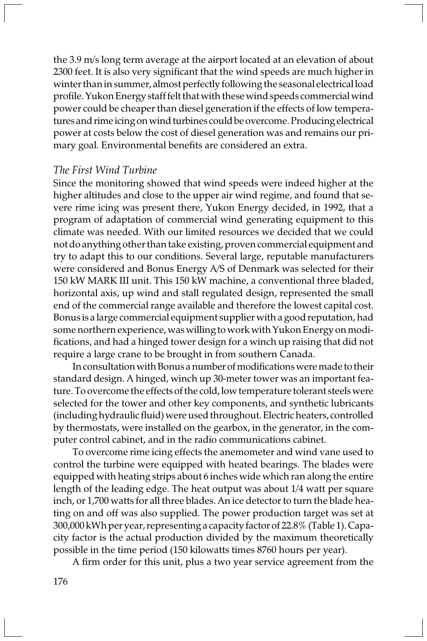the 3.9 m/s long term average at the airport located at an elevation of about 2300 feet. It is also very significant that the wind speeds are much higher in winter than in summer, almost perfectly following the seasonal electrical load profile. Yukon Energy staff felt that with these wind speeds commercial wind power could be cheaper than diesel generation if the effects of low temperatures and rime icing on wind turbines could be overcome. Producing electrical power at costs below the cost of diesel generation was and remains our primary goal. Environmental benefits are considered an extra.

## The First Wind Turbine

Since the monitoring showed that wind speeds were indeed higher at the higher altitudes and close to the upper air wind regime, and found that severe rime icing was present there, Yukon Energy decided, in 1992, that a program of adaptation of commercial wind generating equipment to this climate was needed. With our limited resources we decided that we could not do anything other than take existing, proven commercial equipment and try to adapt this to our conditions. Several large, reputable manufacturers were considered and Bonus Energy A/S of Denmark was selected for their 150 kW MARK III unit. This 150 kW machine, a conventional three bladed, horizontal axis, up wind and stall regulated design, represented the small end of the commercial range available and therefore the lowest capital cost. Bonus is a large commercial equipment supplier with a good reputation, had some northern experience, was willing to work with Yukon Energy on modifications, and had a hinged tower design for a winch up raising that did not require a large crane to be brought in from southern Canada.

In consultation with Bonus a number of modifications were made to their standard design. A hinged, winch up 30-meter tower was an important feature. To overcome the effects of the cold, low temperature tolerant steels were selected for the tower and other key components, and synthetic lubricants (including hydraulic fluid) were used throughout. Electric heaters, controlled by thermostats, were installed on the gearbox, in the generator, in the computer control cabinet, and in the radio communications cabinet.

To overcome rime icing effects the anemometer and wind vane used to control the turbine were equipped with heated bearings. The blades were equipped with heating strips about 6 inches wide which ran along the entire length of the leading edge. The heat output was about 1/4 watt per square inch, or 1,700 watts for all three blades. An ice detector to turn the blade heating on and off was also supplied. The power production target was set at 300,000 kWh per year, representing a capacity factor of 22.8% (Table 1). Capacity factor is the actual production divided by the maximum theoretically possible in the time period (150 kilowatts times 8760 hours per year).

A firm order for this unit, plus a two year service agreement from the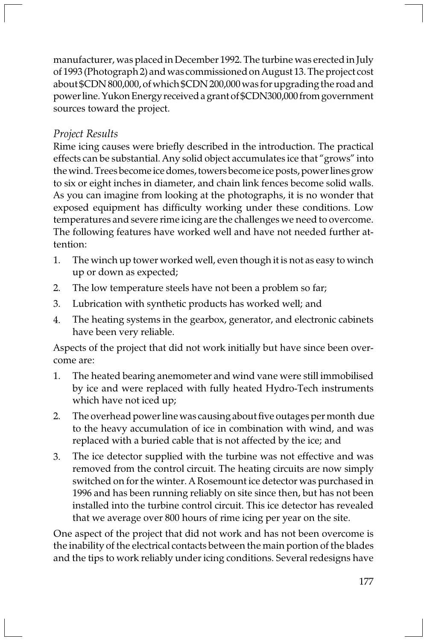manufacturer, was placed in December 1992. The turbine was erected in July of 1993 (Photograph 2) and was commissioned on August 13. The project cost about \$CDN 800,000, of which \$CDN 200,000 was for upgrading the road and power line. Yukon Energy received a grant of \$CDN300,000 from government sources toward the project.

# Project Results

Rime icing causes were briefly described in the introduction. The practical effects can be substantial. Any solid object accumulates ice that "grows" into the wind. Trees become ice domes, towers become ice posts, power lines grow to six or eight inches in diameter, and chain link fences become solid walls. As you can imagine from looking at the photographs, it is no wonder that exposed equipment has difficulty working under these conditions. Low temperatures and severe rime icing are the challenges we need to overcome. The following features have worked well and have not needed further attention:

- 1. The winch up tower worked well, even though it is not as easy to winch up or down as expected;
- 2. The low temperature steels have not been a problem so far;
- 3. Lubrication with synthetic products has worked well; and
- 4. The heating systems in the gearbox, generator, and electronic cabinets have been very reliable.

Aspects of the project that did not work initially but have since been overcome are:

- 1. The heated bearing anemometer and wind vane were still immobilised by ice and were replaced with fully heated Hydro-Tech instruments which have not iced up;
- 2. The overhead power line was causing about five outages per month due to the heavy accumulation of ice in combination with wind, and was replaced with a buried cable that is not affected by the ice; and
- 3. The ice detector supplied with the turbine was not effective and was removed from the control circuit. The heating circuits are now simply switched on for the winter. A Rosemount ice detector was purchased in 1996 and has been running reliably on site since then, but has not been installed into the turbine control circuit. This ice detector has revealed that we average over 800 hours of rime icing per year on the site.

One aspect of the project that did not work and has not been overcome is the inability of the electrical contacts between the main portion of the blades and the tips to work reliably under icing conditions. Several redesigns have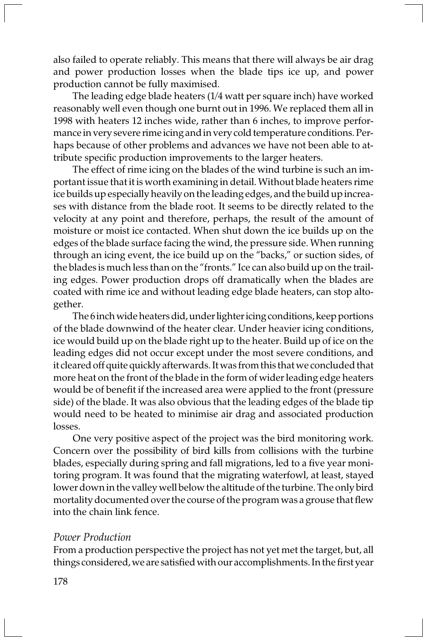also failed to operate reliably. This means that there will always be air drag and power production losses when the blade tips ice up, and power production cannot be fully maximised.

The leading edge blade heaters (1/4 watt per square inch) have worked reasonably well even though one burnt out in 1996. We replaced them all in 1998 with heaters 12 inches wide, rather than 6 inches, to improve performance in very severe rime icing and in very cold temperature conditions. Perhaps because of other problems and advances we have not been able to attribute specific production improvements to the larger heaters.

The effect of rime icing on the blades of the wind turbine is such an important issue that it is worth examining in detail. Without blade heaters rime ice builds up especially heavily on the leading edges, and the build up increases with distance from the blade root. It seems to be directly related to the velocity at any point and therefore, perhaps, the result of the amount of moisture or moist ice contacted. When shut down the ice builds up on the edges of the blade surface facing the wind, the pressure side. When running through an icing event, the ice build up on the "backs," or suction sides, of the blades is much less than on the "fronts." Ice can also build up on the trailing edges. Power production drops off dramatically when the blades are coated with rime ice and without leading edge blade heaters, can stop altogether.

The 6 inch wide heaters did, under lighter icing conditions, keep portions of the blade downwind of the heater clear. Under heavier icing conditions, ice would build up on the blade right up to the heater. Build up of ice on the leading edges did not occur except under the most severe conditions, and it cleared off quite quickly afterwards. It was from this that we concluded that more heat on the front of the blade in the form of wider leading edge heaters would be of benefit if the increased area were applied to the front (pressure side) of the blade. It was also obvious that the leading edges of the blade tip would need to be heated to minimise air drag and associated production losses.

One very positive aspect of the project was the bird monitoring work. Concern over the possibility of bird kills from collisions with the turbine blades, especially during spring and fall migrations, led to a five year monitoring program. It was found that the migrating waterfowl, at least, stayed lower down in the valley well below the altitude of the turbine. The only bird mortality documented over the course of the program was a grouse that flew into the chain link fence.

### Power Production

From a production perspective the project has not yet met the target, but, all things considered, we are satisfied with our accomplishments. In the first year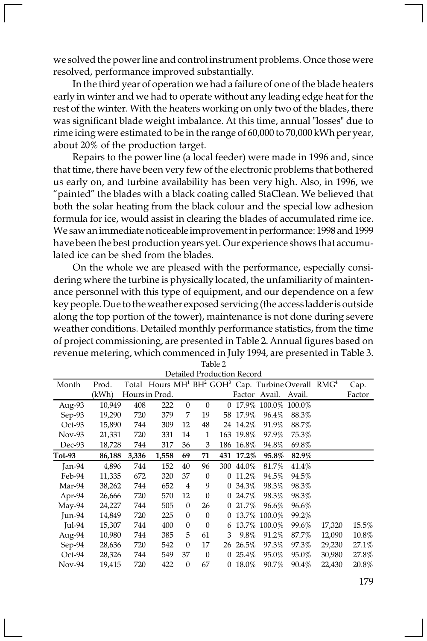we solved the power line and control instrument problems. Once those were resolved, performance improved substantially.

In the third year of operation we had a failure of one of the blade heaters early in winter and we had to operate without any leading edge heat for the rest of the winter. With the heaters working on only two of the blades, there was significant blade weight imbalance. At this time, annual "losses" due to rime icing were estimated to be in the range of 60,000 to 70,000 kWh per year, about 20% of the production target.

Repairs to the power line (a local feeder) were made in 1996 and, since that time, there have been very few of the electronic problems that bothered us early on, and turbine availability has been very high. Also, in 1996, we "painted" the blades with a black coating called StaClean. We believed that both the solar heating from the black colour and the special low adhesion formula for ice, would assist in clearing the blades of accumulated rime ice. We saw an immediate noticeable improvement in performance: 1998 and 1999 have been the best production years yet. Our experience shows that accumulated ice can be shed from the blades.

On the whole we are pleased with the performance, especially considering where the turbine is physically located, the unfamiliarity of maintenance personnel with this type of equipment, and our dependence on a few key people. Due to the weather exposed servicing (the access ladder is outside along the top portion of the tower), maintenance is not done during severe weather conditions. Detailed monthly performance statistics, from the time of project commissioning, are presented in Table 2. Annual figures based on revenue metering, which commenced in July 1994, are presented in Table 3.

| Detailed Production Record |        |       |                |                  |              |              |           |               |                                                                                                    |        |        |
|----------------------------|--------|-------|----------------|------------------|--------------|--------------|-----------|---------------|----------------------------------------------------------------------------------------------------|--------|--------|
| Month                      | Prod.  |       |                |                  |              |              |           |               | Total Hours MH <sup>1</sup> BH <sup>2</sup> GOH <sup>3</sup> Cap. Turbine Overall RMG <sup>4</sup> |        | Cap.   |
|                            | (kWh)  |       | Hours in Prod. |                  |              |              |           | Factor Avail. | Avail.                                                                                             |        | Factor |
| Aug-93                     | 10,949 | 408   | 222            | $\mathbf{0}$     | $\mathbf{0}$ | 0            | 17.9%     | 100.0%        | 100.0%                                                                                             |        |        |
| Sep-93                     | 19,290 | 720   | 379            | 7                | 19           | 58           | 17.9%     | 96.4%         | 88.3%                                                                                              |        |        |
| $Oct-93$                   | 15,890 | 744   | 309            | 12               | 48           |              | 24 14.2%  | 91.9%         | 88.7%                                                                                              |        |        |
| Nov-93                     | 21,331 | 720   | 331            | 14               | 1            |              | 163 19.8% | 97.9%         | 75.3%                                                                                              |        |        |
| Dec-93                     | 18,728 | 744   | 317            | 36               | 3            |              | 186 16.8% | 94.8%         | 69.8%                                                                                              |        |        |
| Tot-93                     | 86,188 | 3,336 | 1,558          | 69               | 71           | 431          | 17.2%     | 95.8%         | 82.9%                                                                                              |        |        |
| Jan- $94$                  | 4,896  | 744   | 152            | 40               | 96           | 300          | 44.0%     | 81.7%         | 41.4%                                                                                              |        |        |
| Feb-94                     | 11,335 | 672   | 320            | 37               | $\mathbf{0}$ | $\Omega$     | 11.2%     | 94.5%         | 94.5%                                                                                              |        |        |
| Mar-94                     | 38,262 | 744   | 652            | 4                | 9            | 0            | 34.3%     | 98.3%         | 98.3%                                                                                              |        |        |
| Apr-94                     | 26,666 | 720   | 570            | 12               | $\mathbf{0}$ | 0            | 24.7%     | 98.3%         | 98.3%                                                                                              |        |        |
| May-94                     | 24,227 | 744   | 505            | $\mathbf{0}$     | 26           | 0            | 21.7%     | 96.6%         | 96.6%                                                                                              |        |        |
| Jun-94                     | 14,849 | 720   | 225            | $\mathbf{0}$     | $\mathbf{0}$ | 0            | 13.7%     | 100.0%        | 99.2%                                                                                              |        |        |
| $\text{Iul-94}$            | 15,307 | 744   | 400            | $\mathbf{0}$     | $\mathbf{0}$ | 6            | 13.7%     | 100.0%        | 99.6%                                                                                              | 17,320 | 15.5%  |
| Aug-94                     | 10,980 | 744   | 385            | 5                | 61           | 3            | 9.8%      | 91.2%         | 87.7%                                                                                              | 12,090 | 10.8%  |
| Sep-94                     | 28,636 | 720   | 542            | $\boldsymbol{0}$ | 17           | 26           | 26.5%     | 97.3%         | 97.3%                                                                                              | 29,230 | 27.1%  |
| $Oct-94$                   | 28,326 | 744   | 549            | 37               | $\mathbf{0}$ | 0            | $25.4\%$  | 95.0%         | 95.0%                                                                                              | 30,980 | 27.8%  |
| Nov-94                     | 19,415 | 720   | 422            | $\boldsymbol{0}$ | 67           | $\mathbf{0}$ | 18.0%     | 90.7%         | 90.4%                                                                                              | 22,430 | 20.8%  |

Table 2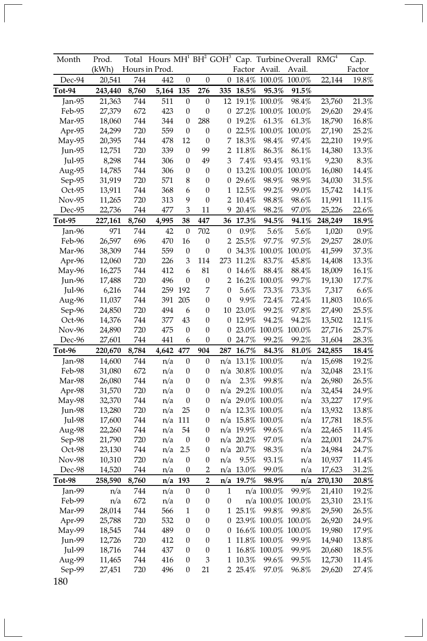| Month         | Prod.   | Total |                |                  |                  |                  |               |                            | Hours MH <sup>1</sup> BH <sup>2</sup> GOH <sup>3</sup> Cap. Turbine Overall RMG <sup>4</sup> |         | Cap.     |
|---------------|---------|-------|----------------|------------------|------------------|------------------|---------------|----------------------------|----------------------------------------------------------------------------------------------|---------|----------|
|               | (kWh)   |       | Hours in Prod. |                  |                  |                  | Factor Avail. |                            | Avail.                                                                                       |         | Factor   |
| Dec-94        | 20,541  | 744   | 442            | $\boldsymbol{0}$ | $\boldsymbol{0}$ | 0                |               | 18.4\% 100.0\%             | 100.0%                                                                                       | 22,144  | 19.8%    |
| $Tot-94$      | 243,440 | 8,760 | 5,164          | 135              | 276              | 335              | 18.5%         | 95.3%                      | 91.5%                                                                                        |         |          |
| Jan- $95$     | 21,363  | 744   | 511            | $\boldsymbol{0}$ | $\boldsymbol{0}$ |                  |               | 12 19.1% 100.0%            | 98.4%                                                                                        | 23,760  | 21.3%    |
| Feb-95        | 27,379  | 672   | 423            | 0                | $\boldsymbol{0}$ |                  |               | 0 27.2% 100.0% 100.0%      |                                                                                              | 29,620  | 29.4%    |
| Mar-95        | 18,060  | 744   | 344            | 0                | 288              | 0                | 19.2%         | 61.3%                      | 61.3%                                                                                        | 18,790  | 16.8%    |
| Apr-95        | 24,299  | 720   | 559            | $\boldsymbol{0}$ | $\boldsymbol{0}$ | 0                |               | 22.5% 100.0% 100.0%        |                                                                                              | 27,190  | 25.2%    |
| $May-95$      | 20,395  | 744   | 478            | 12               | $\boldsymbol{0}$ | 7                | 18.3%         | 98.4%                      | 97.4%                                                                                        | 22,210  | 19.9%    |
| Jun-95        | 12,751  | 720   | 339            | 0                | 99               | 2                | 11.8%         | 86.3%                      | 86.1%                                                                                        | 14,380  | 13.3%    |
| <b>Jul-95</b> | 8,298   | 744   | 306            | 0                | 49               | 3                | 7.4%          | 93.4%                      | 93.1%                                                                                        | 9,230   | 8.3%     |
| Aug-95        | 14,785  | 744   | 306            | 0                | 0                | $\mathbf{0}$     |               | 13.2% 100.0% 100.0%        |                                                                                              | 16,080  | 14.4%    |
| Sep-95        | 31,919  | 720   | 571            | 8                | 0                | 0                | 29.6%         | 98.9%                      | 98.9%                                                                                        | 34,030  | 31.5%    |
| Oct-95        | 13,911  | 744   | 368            | 6                | $\boldsymbol{0}$ | $\mathbf{1}$     | 12.5%         | 99.2%                      | 99.0%                                                                                        | 15,742  | $14.1\%$ |
| Nov-95        | 11,265  | 720   | 313            | 9                | $\boldsymbol{0}$ | 2                | 10.4%         | 98.8%                      | 98.6%                                                                                        | 11,991  | 11.1%    |
| Dec-95        | 22,736  | 744   | 477            | 3                | 11               | 9                | $20.4\%$      | $98.2\%$                   | 97.0%                                                                                        | 25,226  | 22.6%    |
| Tot-95        | 227,161 | 8,760 | 4,995          | 38               | 447              | 36               | 17.3%         | 94.5%                      | 94.1%                                                                                        | 248,249 | 18.9%    |
| Jan-96        | 971     | 744   | 42             | $\boldsymbol{0}$ | 702              | 0                | 0.9%          | 5.6%                       | 5.6%                                                                                         | 1,020   | 0.9%     |
| Feb-96        | 26,597  | 696   | 470            | 16               | 0                |                  | 2 25.5%       | 97.7%                      | 97.5%                                                                                        | 29,257  | 28.0%    |
| Mar-96        | 38,309  | 744   | 559            | $\boldsymbol{0}$ | $\boldsymbol{0}$ | 0                |               | 34.3% 100.0% 100.0%        |                                                                                              | 41,599  | 37.3%    |
| Apr-96        | 12,060  | 720   | 226            | 3                | 114              | 273              | 11.2%         | 83.7%                      | 45.8%                                                                                        | 14,408  | 13.3%    |
| May-96        | 16,275  | 744   | 412            | 6                | 81               | 0                | 14.6%         | 88.4%                      | 88.4%                                                                                        | 18,009  | 16.1%    |
| $Jun-96$      | 17,488  | 720   | 496            | 0                | 0                | 2                |               | 16.2% 100.0%               | 99.7%                                                                                        | 19,130  | 17.7%    |
| Jul-96        | 6,216   | 744   | 259            | 192              | 7                | 0                | 5.6%          | 73.3%                      | 73.3%                                                                                        | 7,317   | 6.6%     |
| Aug-96        | 11,037  | 744   | 391            | 205              | $\boldsymbol{0}$ | $\boldsymbol{0}$ | 9.9%          | 72.4%                      | 72.4%                                                                                        | 11,803  | 10.6%    |
| Sep-96        | 24,850  | 720   | 494            | 6                | 0                |                  | 10 23.0%      | 99.2%                      | 97.8%                                                                                        | 27,490  | 25.5%    |
| Oct-96        | 14,376  | 744   | 377            | 43               | $\boldsymbol{0}$ | $\boldsymbol{0}$ | 12.9%         | 94.2%                      | 94.2%                                                                                        | 13,502  | 12.1%    |
| Nov-96        | 24,890  | 720   | 475            | 0                | 0                | 0                |               | 23.0% 100.0% 100.0%        |                                                                                              | 27,716  | 25.7%    |
| Dec-96        | 27,601  | 744   | 441            | 6                | $\boldsymbol{0}$ | 0                | 24.7%         | 99.2%                      | 99.2%                                                                                        | 31,604  | 28.3%    |
| Tot-96        | 220,670 | 8,784 | 4,642          | 477              | 904              | 287              | 16.7%         | 84.3%                      | 81.0%                                                                                        | 242,855 | 18.4%    |
| Jan-98        | 14,600  | 744   | n/a            | $\boldsymbol{0}$ | $\boldsymbol{0}$ | n/a              |               | 13.1% 100.0%               | n/a                                                                                          | 15,698  | 19.2%    |
| Feb-98        | 31,080  | 672   | n/a            | 0                | 0                |                  |               | n/a 30.8% 100.0%           | n/a                                                                                          | 32,048  | 23.1%    |
| Mar-98        | 26,080  | 744   | n/a            | $\boldsymbol{0}$ | 0                | n/a              | 2.3%          | 99.8%                      | n/a                                                                                          | 26,980  | 26.5%    |
| Apr-98        | 31,570  | 720   | n/a            | $\boldsymbol{0}$ | $\boldsymbol{0}$ |                  |               | n/a 29.2% 100.0%           | n/a                                                                                          | 32,454  | 24.9%    |
| May-98        | 32,370  | 744   | n/a            | $\boldsymbol{0}$ | $\boldsymbol{0}$ |                  |               | $n/a$ 29.0% 100.0%         | n/a                                                                                          | 33,227  | 17.9%    |
| Jun-98        | 13,280  | 720   | n/a            | 25               | 0                |                  |               | n/a 12.3% 100.0%           | n/a                                                                                          | 13,932  | 13.8%    |
| <b>Jul-98</b> | 17,600  | 744   |                | n/a 111          | $\boldsymbol{0}$ |                  |               | n/a 15.8% 100.0%           | n/a                                                                                          | 17,781  | 18.5%    |
| Aug-98        | 22,260  | 744   | n/a            | 54               | 0                |                  | $n/a$ 19.9%   | 99.6%                      | n/a                                                                                          | 22,465  | 11.4%    |
| Sep-98        | 21,790  | 720   | n/a            | $\boldsymbol{0}$ | 0                |                  | n/a 20.2%     | 97.0%                      | n/a                                                                                          | 22,001  | 24.7%    |
| Oct-98        | 23,130  | 744   | n/a            | 2.5              | $\boldsymbol{0}$ |                  | n/a 20.7%     | 98.3%                      | n/a                                                                                          | 24,984  | 24.7%    |
| <b>Nov-98</b> | 10,310  | 720   | n/a            | $\boldsymbol{0}$ | 0                | n/a              | 9.5%          | 93.1%                      | n/a                                                                                          | 10,937  | 11.4%    |
| Dec-98        | 14,520  | 744   | n/a            | 0                | 2                |                  | n/a 13.0%     | 99.0%                      | n/a                                                                                          | 17,623  | 31.2%    |
| Tot-98        | 258,590 | 8,760 | n/a            | 193              | $\overline{2}$   | n/a              | 19.7%         | 98.9%                      | n/a                                                                                          | 270,130 | 20.8%    |
| Jan-99        | n/a     | 744   | n/a            | $\boldsymbol{0}$ | $\boldsymbol{0}$ | $\mathbf{1}$     |               | n/a 100.0%                 | 99.9%                                                                                        | 21,410  | 19.2%    |
| Feb-99        | n/a     | 672   | n/a            | $\boldsymbol{0}$ | $\boldsymbol{0}$ | 0                |               | n/a 100.0% 100.0%          |                                                                                              | 23,310  | 23.1%    |
| Mar-99        | 28,014  | 744   | 566            | $\mathbf{1}$     | 0                |                  | 1 25.1%       | 99.8%                      | 99.8%                                                                                        | 29,590  | 26.5%    |
| Apr-99        | 25,788  | 720   | 532            | 0                | 0                |                  |               | 0 23.9% 100.0% 100.0%      |                                                                                              | 26,920  | $24.9\%$ |
| May-99        | 18,545  | 744   | 489            | 0                | 0                |                  |               | 0 16.6% 100.0% 100.0%      |                                                                                              | 19,980  | 17.9%    |
| Jun-99        | 12,726  | 720   | 412            | 0                | 0                | 1                |               | 11.8% 100.0%               | 99.9%                                                                                        | 14,940  | 13.8%    |
| Jul-99        | 18,716  | 744   | 437            | 0                | $\boldsymbol{0}$ |                  |               | $1\,$ $16.8\%$ $\,100.0\%$ | 99.9%                                                                                        | 20,680  | 18.5%    |
| Aug-99        | 11,465  | 744   | 416            | 0                | 3                | 1                | 10.3%         | 99.6%                      | 99.5%                                                                                        | 12,730  | 11.4%    |
| Sep-99        | 27,451  | 720   | 496            | 0                | 21               |                  | 2 25.4%       | 97.0%                      | 96.8%                                                                                        | 29,620  | 27.4%    |
| 180           |         |       |                |                  |                  |                  |               |                            |                                                                                              |         |          |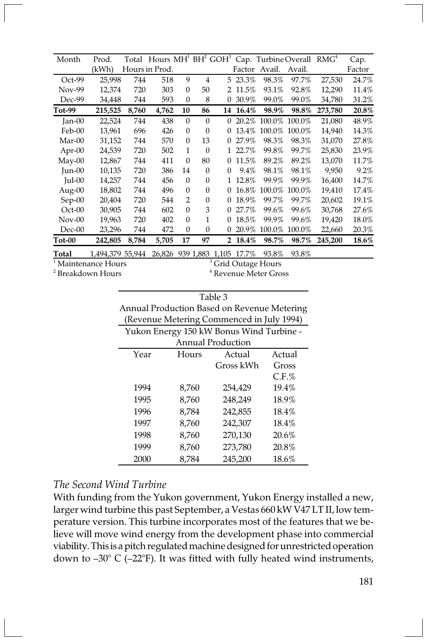| Month           | Prod.            |       |                |                |              |          |                              |               | Total Hours MH <sup>1</sup> BH <sup>2</sup> GOH <sup>3</sup> Cap. Turbine Overall RMG <sup>4</sup> |         | Cap.   |
|-----------------|------------------|-------|----------------|----------------|--------------|----------|------------------------------|---------------|----------------------------------------------------------------------------------------------------|---------|--------|
|                 | (kWh)            |       | Hours in Prod. |                |              |          |                              | Factor Avail. | Avail.                                                                                             |         | Factor |
| $Oct-99$        | 25,998           | 744   | 518            | 9              | 4            | 5        | 23.3%                        | 98.3%         | 97.7%                                                                                              | 27,530  | 24.7%  |
| Nov-99          | 12,374           | 720   | 303            | $\theta$       | 50           | 2        | 11.5%                        | 93.1%         | 92.8%                                                                                              | 12,290  | 11.4%  |
| Dec-99          | 34,448           | 744   | 593            | $\mathbf{0}$   | 8            | 0        | 30.9%                        | 99.0%         | 99.0%                                                                                              | 34,780  | 31.2%  |
| Tot-99          | 215,525          | 8,760 | 4,762          | 10             | 86           | 14       | 16.4%                        | 98.9%         | 98.8%                                                                                              | 273,780 | 20.8%  |
| $Jan-00$        | 22,524           | 744   | 438            | $\theta$       | $\Omega$     | 0        | 20.2%                        | 100.0%        | 100.0%                                                                                             | 21,080  | 48.9%  |
| Feb-00          | 13,961           | 696   | 426            | $\theta$       | $\Omega$     |          | 13.4%                        | 100.0%        | 100.0%                                                                                             | 14,940  | 14.3%  |
| Mar-00          | 31,152           | 744   | 570            | $\theta$       | 13           | 0        | 27.9%                        | 98.3%         | 98.3%                                                                                              | 31,070  | 27.8%  |
| $Apr-00$        | 24,539           | 720   | 502            | 1              | $\mathbf{0}$ |          | 22.7%                        | 99.8%         | 99.7%                                                                                              | 25.830  | 23.9%  |
| $May-00$        | 12,867           | 744   | 411            | $\theta$       | 80           | 0        | 11.5%                        | 89.2%         | 89.2%                                                                                              | 13,070  | 11.7%  |
| $Jun-00$        | 10,135           | 720   | 386            | 14             | $\Omega$     | $\Omega$ | 9.4%                         | 98.1%         | 98.1%                                                                                              | 9,950   | 9.2%   |
| $\text{Iul-00}$ | 14,257           | 744   | 456            | $\Omega$       | $\Omega$     |          | 12.8%                        | 99.9%         | 99.9%                                                                                              | 16,400  | 14.7%  |
| Aug-00          | 18,802           | 744   | 496            | $\theta$       | $\mathbf{0}$ |          | 16.8%                        | 100.0%        | 100.0%                                                                                             | 19,410  | 17.4%  |
| $Sep-00$        | 20,404           | 720   | 544            | $\overline{2}$ | $\mathbf{0}$ | 0        | 18.9%                        | 99.7%         | 99.7%                                                                                              | 20,602  | 19.1%  |
| $Oct-00$        | 30,905           | 744   | 602            | $\theta$       | 3            | $\Omega$ | 27.7%                        | 99.6%         | 99.6%                                                                                              | 30,768  | 27.6%  |
| $Nov-00$        | 19,963           | 720   | 402            | $\theta$       | 1            | 0        | 18.5%                        | 99.9%         | 99.6%                                                                                              | 19,420  | 18.0%  |
| Dec-00          | 23,296           | 744   | 472            | $\theta$       | $\Omega$     |          | 20.9%                        | 100.0%        | 100.0%                                                                                             | 22,660  | 20.3%  |
| $Tot-00$        | 242,805          | 8,784 | 5,705          | 17             | 97           | 2        | 18.4%                        | 98.7%         | 98.7%                                                                                              | 245,200 | 18.6%  |
| Total           | 1,494,379 55,944 |       |                |                |              |          | 26,826 939 1,883 1,105 17.7% | 93.8%         | 93.8%                                                                                              |         |        |

<sup>1</sup> Maintenance Hours

2 Breakdown Hours

<sup>3</sup> Grid Outage Hours 4 Revenue Meter Gross

| Table 3                                     |
|---------------------------------------------|
| Annual Production Based on Revenue Metering |
| (Revenue Metering Commenced in July 1994)   |
| Yukon Energy 150 kW Bonus Wind Turbine.     |

| $1.0011$ entergy too it bonds while I division |       |           |          |  |  |  |  |  |  |
|------------------------------------------------|-------|-----------|----------|--|--|--|--|--|--|
| <b>Annual Production</b>                       |       |           |          |  |  |  |  |  |  |
| Year                                           | Hours | Actual    | Actual   |  |  |  |  |  |  |
|                                                |       | Gross kWh | Gross    |  |  |  |  |  |  |
|                                                |       |           | $C.F.\%$ |  |  |  |  |  |  |
| 1994                                           | 8,760 | 254,429   | 19.4%    |  |  |  |  |  |  |
| 1995                                           | 8,760 | 248,249   | 18.9%    |  |  |  |  |  |  |
| 1996                                           | 8,784 | 242,855   | 18.4%    |  |  |  |  |  |  |
| 1997                                           | 8,760 | 242,307   | 18.4%    |  |  |  |  |  |  |
| 1998                                           | 8,760 | 270,130   | 20.6%    |  |  |  |  |  |  |
| 1999                                           | 8,760 | 273,780   | 20.8%    |  |  |  |  |  |  |
| 2000                                           | 8,784 | 245,200   | 18.6%    |  |  |  |  |  |  |

# The Second Wind Turbine

With funding from the Yukon government, Yukon Energy installed a new, larger wind turbine this past September, a Vestas 660 kW V47 LT II, low temperature version. This turbine incorporates most of the features that we believe will move wind energy from the development phase into commercial viability. This is a pitch regulated machine designed for unrestricted operation down to –30° C (–22°F). It was fitted with fully heated wind instruments,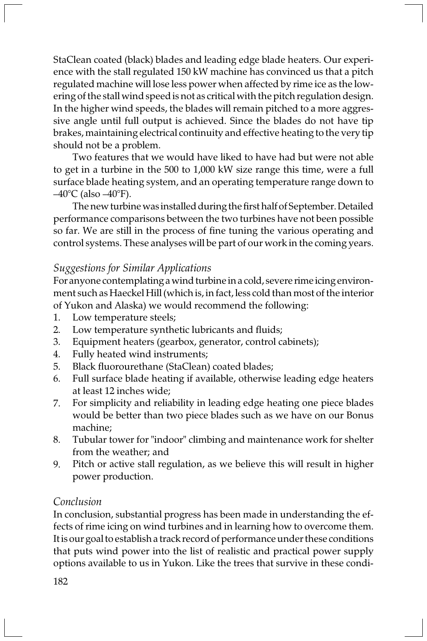StaClean coated (black) blades and leading edge blade heaters. Our experience with the stall regulated 150 kW machine has convinced us that a pitch regulated machine will lose less power when affected by rime ice as the lowering of the stall wind speed is not as critical with the pitch regulation design. In the higher wind speeds, the blades will remain pitched to a more aggressive angle until full output is achieved. Since the blades do not have tip brakes, maintaining electrical continuity and effective heating to the very tip should not be a problem.

Two features that we would have liked to have had but were not able to get in a turbine in the 500 to 1,000 kW size range this time, were a full surface blade heating system, and an operating temperature range down to  $-40^{\circ}$ C (also  $-40^{\circ}$ F).

The new turbine was installed during the first half of September. Detailed performance comparisons between the two turbines have not been possible so far. We are still in the process of fine tuning the various operating and control systems. These analyses will be part of our work in the coming years.

# Suggestions for Similar Applications

For anyone contemplating a wind turbine in a cold, severe rime icing environment such as Haeckel Hill (which is, in fact, less cold than most of the interior of Yukon and Alaska) we would recommend the following:

- 1. Low temperature steels;
- 2. Low temperature synthetic lubricants and fluids;
- 3. Equipment heaters (gearbox, generator, control cabinets);
- 4. Fully heated wind instruments;
- 5. Black fluorourethane (StaClean) coated blades;
- 6. Full surface blade heating if available, otherwise leading edge heaters at least 12 inches wide;
- 7. For simplicity and reliability in leading edge heating one piece blades would be better than two piece blades such as we have on our Bonus machine;
- 8. Tubular tower for "indoor" climbing and maintenance work for shelter from the weather; and
- 9. Pitch or active stall regulation, as we believe this will result in higher power production.

# Conclusion

In conclusion, substantial progress has been made in understanding the effects of rime icing on wind turbines and in learning how to overcome them. It is our goal to establish a track record of performance under these conditions that puts wind power into the list of realistic and practical power supply options available to us in Yukon. Like the trees that survive in these condi